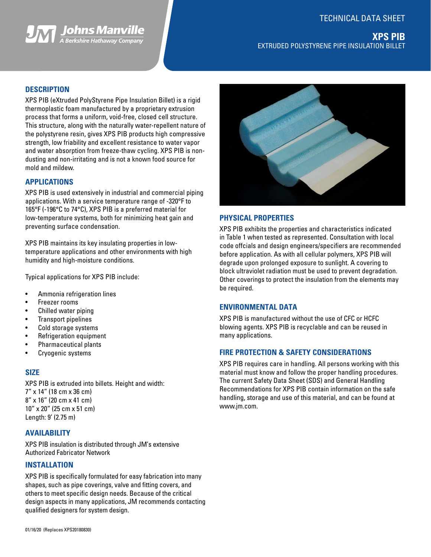



# **XPS PIB** EXTRUDED POLYSTYRENE PIPE INSULATION BILLET

# **DESCRIPTION**

XPS PIB (eXtruded PolyStyrene Pipe Insulation Billet) is a rigid thermoplastic foam manufactured by a proprietary extrusion process that forms a uniform, void-free, closed cell structure. This structure, along with the naturally water-repellent nature of the polystyrene resin, gives XPS PIB products high compressive strength, low friability and excellent resistance to water vapor and water absorption from freeze-thaw cycling. XPS PIB is nondusting and non-irritating and is not a known food source for mold and mildew.

## **APPLICATIONS**

XPS PIB is used extensively in industrial and commercial piping applications. With a service temperature range of -320°F to 165°F (-196°C to 74°C), XPS PIB is a preferred material for low-temperature systems, both for minimizing heat gain and preventing surface condensation.

XPS PIB maintains its key insulating properties in lowtemperature applications and other environments with high humidity and high-moisture conditions.

Typical applications for XPS PIB include:

- Ammonia refrigeration lines
- Freezer rooms
- Chilled water piping
- Transport pipelines
- Cold storage systems
- Refrigeration equipment
- Pharmaceutical plants
- Cryogenic systems

## **SIZE**

XPS PIB is extruded into billets. Height and width: 7" x 14" (18 cm x 36 cm) 8" x 16" (20 cm x 41 cm) 10" x 20" (25 cm x 51 cm) Length: 9' (2.75 m)

## **AVAILABILITY**

XPS PIB insulation is distributed through JM's extensive Authorized Fabricator Network

## **INSTALLATION**

XPS PIB is specifically formulated for easy fabrication into many shapes, such as pipe coverings, valve and fitting covers, and others to meet specific design needs. Because of the critical design aspects in many applications, JM recommends contacting qualified designers for system design.



### **PHYSICAL PROPERTIES**

XPS PIB exhibits the properties and characteristics indicated in Table 1 when tested as represented. Consultation with local code offcials and design engineers/specifiers are recommended before application. As with all cellular polymers, XPS PIB will degrade upon prolonged exposure to sunlight. A covering to block ultraviolet radiation must be used to prevent degradation. Other coverings to protect the insulation from the elements may be required.

## **ENVIRONMENTAL DATA**

XPS PIB is manufactured without the use of CFC or HCFC blowing agents. XPS PIB is recyclable and can be reused in many applications.

# **FIRE PROTECTION & SAFETY CONSIDERATIONS**

XPS PIB requires care in handling. All persons working with this material must know and follow the proper handling procedures. The current Safety Data Sheet (SDS) and General Handling Recommendations for XPS PIB contain information on the safe handling, storage and use of this material, and can be found at www.jm.com.